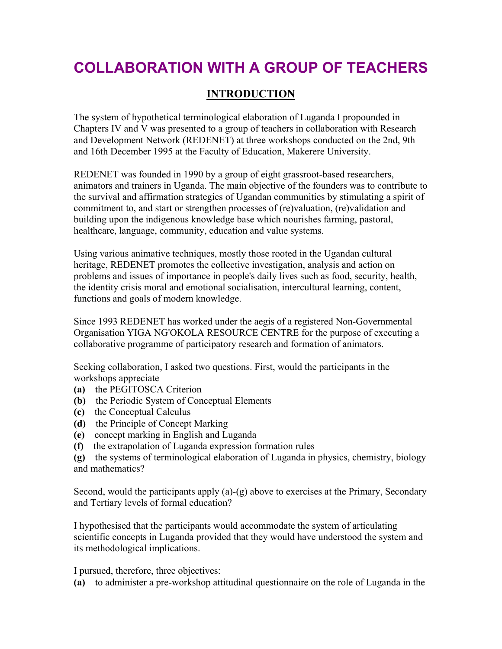## **COLLABORATION WITH A GROUP OF TEACHERS**

## **INTRODUCTION**

The system of hypothetical terminological elaboration of Luganda I propounded in Chapters IV and V was presented to a group of teachers in collaboration with Research and Development Network (REDENET) at three workshops conducted on the 2nd, 9th and 16th December 1995 at the Faculty of Education, Makerere University.

REDENET was founded in 1990 by a group of eight grassroot-based researchers, animators and trainers in Uganda. The main objective of the founders was to contribute to the survival and affirmation strategies of Ugandan communities by stimulating a spirit of commitment to, and start or strengthen processes of (re)valuation, (re)validation and building upon the indigenous knowledge base which nourishes farming, pastoral, healthcare, language, community, education and value systems.

Using various animative techniques, mostly those rooted in the Ugandan cultural heritage, REDENET promotes the collective investigation, analysis and action on problems and issues of importance in people's daily lives such as food, security, health, the identity crisis moral and emotional socialisation, intercultural learning, content, functions and goals of modern knowledge.

Since 1993 REDENET has worked under the aegis of a registered Non-Governmental Organisation YIGA NG'OKOLA RESOURCE CENTRE for the purpose of executing a collaborative programme of participatory research and formation of animators.

Seeking collaboration, I asked two questions. First, would the participants in the workshops appreciate

- **(a)** the PEGITOSCA Criterion
- **(b)** the Periodic System of Conceptual Elements
- **(c)** the Conceptual Calculus
- **(d)** the Principle of Concept Marking
- **(e)** concept marking in English and Luganda
- **(f)** the extrapolation of Luganda expression formation rules

**(g)** the systems of terminological elaboration of Luganda in physics, chemistry, biology and mathematics?

Second, would the participants apply (a)-(g) above to exercises at the Primary, Secondary and Tertiary levels of formal education?

I hypothesised that the participants would accommodate the system of articulating scientific concepts in Luganda provided that they would have understood the system and its methodological implications.

I pursued, therefore, three objectives:

**(a)** to administer a pre-workshop attitudinal questionnaire on the role of Luganda in the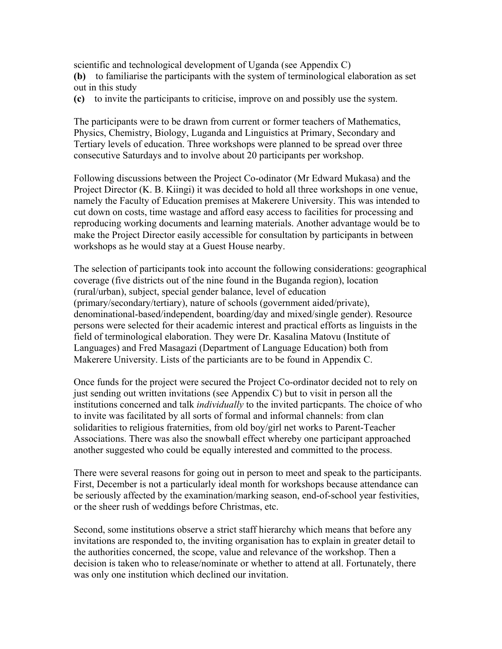scientific and technological development of Uganda (see Appendix C)

**(b)** to familiarise the participants with the system of terminological elaboration as set out in this study

**(c)** to invite the participants to criticise, improve on and possibly use the system.

The participants were to be drawn from current or former teachers of Mathematics, Physics, Chemistry, Biology, Luganda and Linguistics at Primary, Secondary and Tertiary levels of education. Three workshops were planned to be spread over three consecutive Saturdays and to involve about 20 participants per workshop.

Following discussions between the Project Co-odinator (Mr Edward Mukasa) and the Project Director (K. B. Kiingi) it was decided to hold all three workshops in one venue, namely the Faculty of Education premises at Makerere University. This was intended to cut down on costs, time wastage and afford easy access to facilities for processing and reproducing working documents and learning materials. Another advantage would be to make the Project Director easily accessible for consultation by participants in between workshops as he would stay at a Guest House nearby.

The selection of participants took into account the following considerations: geographical coverage (five districts out of the nine found in the Buganda region), location (rural/urban), subject, special gender balance, level of education (primary/secondary/tertiary), nature of schools (government aided/private), denominational-based/independent, boarding/day and mixed/single gender). Resource persons were selected for their academic interest and practical efforts as linguists in the field of terminological elaboration. They were Dr. Kasalina Matovu (Institute of Languages) and Fred Masagazi (Department of Language Education) both from Makerere University. Lists of the particiants are to be found in Appendix C.

Once funds for the project were secured the Project Co-ordinator decided not to rely on just sending out written invitations (see Appendix C) but to visit in person all the institutions concerned and talk *individually* to the invited particpants. The choice of who to invite was facilitated by all sorts of formal and informal channels: from clan solidarities to religious fraternities, from old boy/girl net works to Parent-Teacher Associations. There was also the snowball effect whereby one participant approached another suggested who could be equally interested and committed to the process.

There were several reasons for going out in person to meet and speak to the participants. First, December is not a particularly ideal month for workshops because attendance can be seriously affected by the examination/marking season, end-of-school year festivities, or the sheer rush of weddings before Christmas, etc.

Second, some institutions observe a strict staff hierarchy which means that before any invitations are responded to, the inviting organisation has to explain in greater detail to the authorities concerned, the scope, value and relevance of the workshop. Then a decision is taken who to release/nominate or whether to attend at all. Fortunately, there was only one institution which declined our invitation.